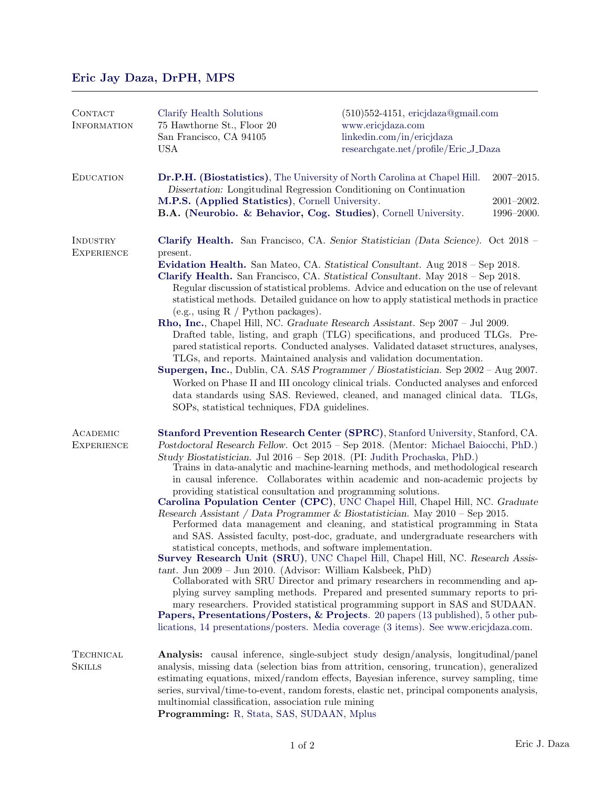## [Eric Jay Daza, DrPH, MPS](https://www.ericjdaza.com/)

| CONTACT<br><b>INFORMATION</b> | Clarify Health Solutions<br>75 Hawthorne St., Floor 20<br>San Francisco, CA 94105<br><b>USA</b>                                                                                                                                                                                                                                                                                                                                                                                                                                                           | $(510)552-4151$ , ericjdaza@gmail.com<br>www.ericjdaza.com<br>linkedin.com/in/ericjdaza<br>researchgate.net/profile/Eric_J_Daza                                                                                                                             |                              |  |
|-------------------------------|-----------------------------------------------------------------------------------------------------------------------------------------------------------------------------------------------------------------------------------------------------------------------------------------------------------------------------------------------------------------------------------------------------------------------------------------------------------------------------------------------------------------------------------------------------------|-------------------------------------------------------------------------------------------------------------------------------------------------------------------------------------------------------------------------------------------------------------|------------------------------|--|
| <b>EDUCATION</b>              |                                                                                                                                                                                                                                                                                                                                                                                                                                                                                                                                                           | Dr.P.H. (Biostatistics), The University of North Carolina at Chapel Hill.<br>Dissertation: Longitudinal Regression Conditioning on Continuation                                                                                                             | $2007 - 2015.$               |  |
|                               | M.P.S. (Applied Statistics), Cornell University.                                                                                                                                                                                                                                                                                                                                                                                                                                                                                                          | B.A. (Neurobio. & Behavior, Cog. Studies), Cornell University.                                                                                                                                                                                              | $2001 - 2002.$<br>1996-2000. |  |
| INDUSTRY<br><b>EXPERIENCE</b> | present.                                                                                                                                                                                                                                                                                                                                                                                                                                                                                                                                                  | Clarify Health. San Francisco, CA. Senior Statistician (Data Science). Oct 2018 –                                                                                                                                                                           |                              |  |
|                               | Evidation Health. San Mateo, CA. Statistical Consultant. Aug 2018 - Sep 2018.<br>Clarify Health. San Francisco, CA. Statistical Consultant. May 2018 - Sep 2018.<br>Regular discussion of statistical problems. Advice and education on the use of relevant<br>statistical methods. Detailed guidance on how to apply statistical methods in practice<br>(e.g., using $R /$ Python packages).                                                                                                                                                             |                                                                                                                                                                                                                                                             |                              |  |
|                               | Rho, Inc., Chapel Hill, NC. Graduate Research Assistant. Sep 2007 - Jul 2009.<br>Drafted table, listing, and graph (TLG) specifications, and produced TLGs. Pre-<br>pared statistical reports. Conducted analyses. Validated dataset structures, analyses,<br>TLGs, and reports. Maintained analysis and validation documentation.                                                                                                                                                                                                                        |                                                                                                                                                                                                                                                             |                              |  |
|                               | SOPs, statistical techniques, FDA guidelines.                                                                                                                                                                                                                                                                                                                                                                                                                                                                                                             | Supergen, Inc., Dublin, CA. SAS Programmer / Biostatistician. Sep 2002 - Aug 2007.<br>Worked on Phase II and III oncology clinical trials. Conducted analyses and enforced<br>data standards using SAS. Reviewed, cleaned, and managed clinical data. TLGs, |                              |  |
| ACADEMIC<br><b>EXPERIENCE</b> | Stanford Prevention Research Center (SPRC), Stanford University, Stanford, CA.<br>Postdoctoral Research Fellow. Oct 2015 - Sep 2018. (Mentor: Michael Baiocchi, PhD.)<br>Study Biostatistician. Jul 2016 – Sep 2018. (PI: Judith Prochaska, PhD.)<br>Trains in data-analytic and machine-learning methods, and methodological research<br>in causal inference. Collaborates within academic and non-academic projects by                                                                                                                                  |                                                                                                                                                                                                                                                             |                              |  |
|                               | providing statistical consultation and programming solutions.<br>Carolina Population Center (CPC), UNC Chapel Hill, Chapel Hill, NC. Graduate<br>Research Assistant / Data Programmer & Biostatistician. May $2010$ – Sep 2015.<br>Performed data management and cleaning, and statistical programming in Stata                                                                                                                                                                                                                                           |                                                                                                                                                                                                                                                             |                              |  |
|                               | and SAS. Assisted faculty, post-doc, graduate, and undergraduate researchers with<br>statistical concepts, methods, and software implementation.<br>Survey Research Unit (SRU), UNC Chapel Hill, Chapel Hill, NC. Research Assis-<br>$tant.$ Jun $2009 - Jun 2010.$ (Advisor: William Kalsbeek, PhD)<br>Collaborated with SRU Director and primary researchers in recommending and ap-<br>plying survey sampling methods. Prepared and presented summary reports to pri-<br>mary researchers. Provided statistical programming support in SAS and SUDAAN. |                                                                                                                                                                                                                                                             |                              |  |
|                               |                                                                                                                                                                                                                                                                                                                                                                                                                                                                                                                                                           | <b>Papers, Presentations/Posters, &amp; Projects.</b> 20 papers (13 published), 5 other pub-<br>lications, 14 presentations/posters. Media coverage (3 items). See www.ericjdaza.com.                                                                       |                              |  |
| TECHNICAL<br><b>SKILLS</b>    | Analysis: causal inference, single-subject study design/analysis, longitudinal/panel<br>analysis, missing data (selection bias from attrition, censoring, truncation), generalized<br>estimating equations, mixed/random effects, Bayesian inference, survey sampling, time<br>series, survival/time-to-event, random forests, elastic net, principal components analysis,<br>multinomial classification, association rule mining<br>Programming: R, Stata, SAS, SUDAAN, Mplus                                                                            |                                                                                                                                                                                                                                                             |                              |  |